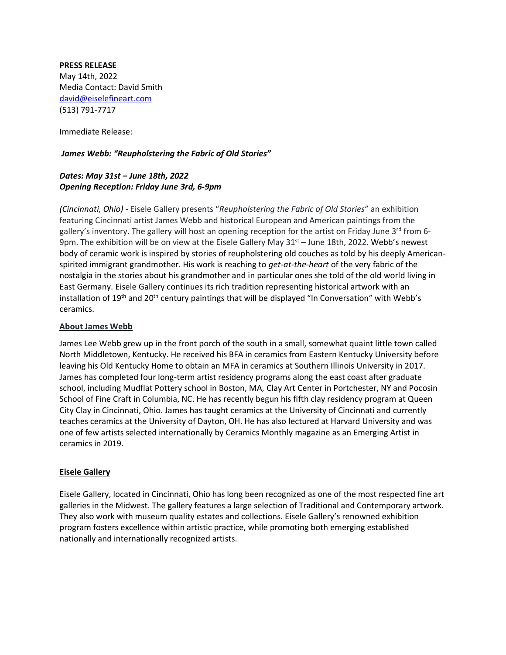#### **PRESS RELEASE**

May 14th, 2022 Media Contact: David Smith [david@eiselefineart.com](mailto:david@eiselefineart.com) (513) 791-7717

Immediate Release:

## *James Webb: "Reupholstering the Fabric of Old Stories"*

# *Dates: May 31st – June 18th, 2022 Opening Reception: Friday June 3rd, 6-9pm*

*(Cincinnati, Ohio)* - Eisele Gallery presents "*Reupholstering the Fabric of Old Stories*" an exhibition featuring Cincinnati artist James Webb and historical European and American paintings from the gallery's inventory. The gallery will host an opening reception for the artist on Friday June 3<sup>rd</sup> from 6-9pm. The exhibition will be on view at the Eisele Gallery May  $31<sup>st</sup>$  – June 18th, 2022. Webb's newest body of ceramic work is inspired by stories of reupholstering old couches as told by his deeply Americanspirited immigrant grandmother. His work is reaching to *get-at-the-heart* of the very fabric of the nostalgia in the stories about his grandmother and in particular ones she told of the old world living in East Germany. Eisele Gallery continues its rich tradition representing historical artwork with an installation of 19<sup>th</sup> and 20<sup>th</sup> century paintings that will be displayed "In Conversation" with Webb's ceramics.

#### **About James Webb**

James Lee Webb grew up in the front porch of the south in a small, somewhat quaint little town called North Middletown, Kentucky. He received his BFA in ceramics from Eastern Kentucky University before leaving his Old Kentucky Home to obtain an MFA in ceramics at Southern Illinois University in 2017. James has completed four long-term artist residency programs along the east coast after graduate school, including Mudflat Pottery school in Boston, MA, Clay Art Center in Portchester, NY and Pocosin School of Fine Craft in Columbia, NC. He has recently begun his fifth clay residency program at Queen City Clay in Cincinnati, Ohio. James has taught ceramics at the University of Cincinnati and currently teaches ceramics at the University of Dayton, OH. He has also lectured at Harvard University and was one of few artists selected internationally by Ceramics Monthly magazine as an Emerging Artist in ceramics in 2019.

### **Eisele Gallery**

Eisele Gallery, located in Cincinnati, Ohio has long been recognized as one of the most respected fine art galleries in the Midwest. The gallery features a large selection of Traditional and Contemporary artwork. They also work with museum quality estates and collections. Eisele Gallery's renowned exhibition program fosters excellence within artistic practice, while promoting both emerging established nationally and internationally recognized artists.